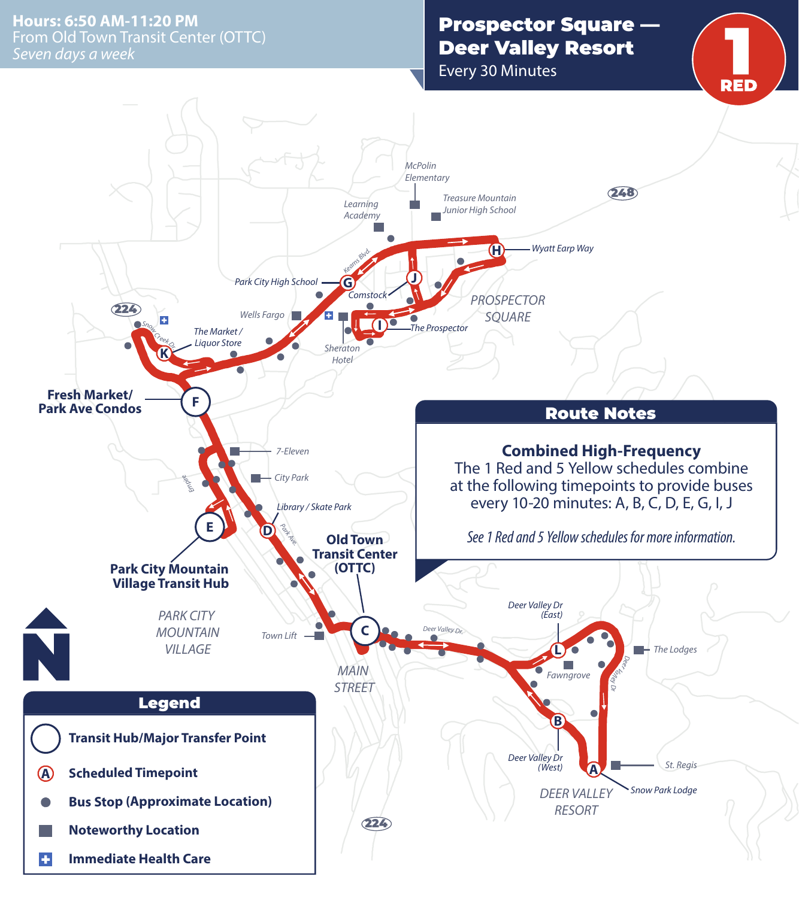